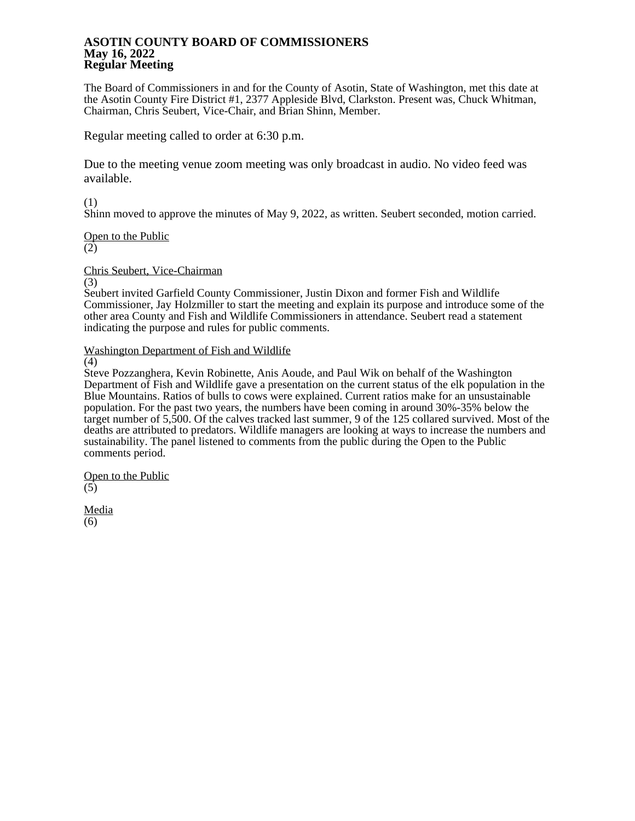## **ASOTIN COUNTY BOARD OF COMMISSIONERS May 16, 2022 Regular Meeting**

The Board of Commissioners in and for the County of Asotin, State of Washington, met this date at the Asotin County Fire District #1, 2377 Appleside Blvd, Clarkston. Present was, Chuck Whitman, Chairman, Chris Seubert, Vice-Chair, and Brian Shinn, Member.

Regular meeting called to order at 6:30 p.m.

Due to the meeting venue zoom meeting was only broadcast in audio. No video feed was available.

(1)

Shinn moved to approve the minutes of May 9, 2022, as written. Seubert seconded, motion carried.

Open to the Public

(2)

Chris Seubert, Vice-Chairman

(3)

Seubert invited Garfield County Commissioner, Justin Dixon and former Fish and Wildlife Commissioner, Jay Holzmiller to start the meeting and explain its purpose and introduce some of the other area County and Fish and Wildlife Commissioners in attendance. Seubert read a statement indicating the purpose and rules for public comments.

Washington Department of Fish and Wildlife

(4)

Steve Pozzanghera, Kevin Robinette, Anis Aoude, and Paul Wik on behalf of the Washington Department of Fish and Wildlife gave a presentation on the current status of the elk population in the Blue Mountains. Ratios of bulls to cows were explained. Current ratios make for an unsustainable population. For the past two years, the numbers have been coming in around 30%-35% below the target number of 5,500. Of the calves tracked last summer, 9 of the 125 collared survived. Most of the deaths are attributed to predators. Wildlife managers are looking at ways to increase the numbers and sustainability. The panel listened to comments from the public during the Open to the Public comments period.

Open to the Public (5)

Media (6)